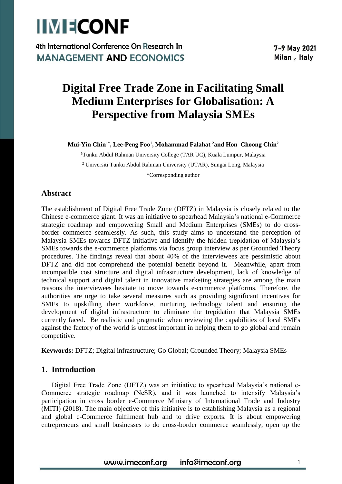

4th International Conference On Research In **MANAGEMENT AND ECONOMICS** 

7-9 May 2021 Milan, Italy

## **Digital Free Trade Zone in Facilitating Small Medium Enterprises for Globalisation: A Perspective from Malaysia SMEs**

**Mui-Yin Chin1\* , Lee-Peng Foo<sup>1</sup> , Mohammad Falahat <sup>2</sup>and Hon–Choong Chin<sup>2</sup>**

<sup>1</sup>Tunku Abdul Rahman University College (TAR UC), Kuala Lumpur, Malaysia <sup>2</sup> Universiti Tunku Abdul Rahman University (UTAR), Sungai Long, Malaysia \*Corresponding author

### **Abstract**

The establishment of Digital Free Trade Zone (DFTZ) in Malaysia is closely related to the Chinese e-commerce giant. It was an initiative to spearhead Malaysia's national e-Commerce strategic roadmap and empowering Small and Medium Enterprises (SMEs) to do crossborder commerce seamlessly. As such, this study aims to understand the perception of Malaysia SMEs towards DFTZ initiative and identify the hidden trepidation of Malaysia's SMEs towards the e-commerce platforms via focus group interview as per Grounded Theory procedures. The findings reveal that about 40% of the interviewees are pessimistic about DFTZ and did not comprehend the potential benefit beyond it. Meanwhile, apart from incompatible cost structure and digital infrastructure development, lack of knowledge of technical support and digital talent in innovative marketing strategies are among the main reasons the interviewees hesitate to move towards e-commerce platforms. Therefore, the authorities are urge to take several measures such as providing significant incentives for SMEs to upskilling their workforce, nurturing technology talent and ensuring the development of digital infrastructure to eliminate the trepidation that Malaysia SMEs currently faced. Be realistic and pragmatic when reviewing the capabilities of local SMEs against the factory of the world is utmost important in helping them to go global and remain competitive.

**Keywords:** DFTZ; Digital infrastructure; Go Global; Grounded Theory; Malaysia SMEs

#### **1. Introduction**

Digital Free Trade Zone (DFTZ) was an initiative to spearhead Malaysia's national e-Commerce strategic roadmap (NeSR), and it was launched to intensify Malaysia's participation in cross border e-Commerce Ministry of International Trade and Industry (MITI) (2018). The main objective of this initiative is to establishing Malaysia as a regional and global e-Commerce fulfilment hub and to drive exports. It is about empowering entrepreneurs and small businesses to do cross-border commerce seamlessly, open up the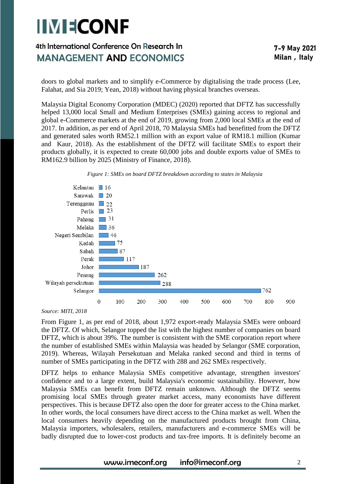## 4th International Conference On Research In **MANAGEMENT AND ECONOMICS**

doors to global markets and to simplify e-Commerce by digitalising the trade process (Lee, Falahat, and Sia 2019; Yean, 2018) without having physical branches overseas.

Malaysia Digital Economy Corporation (MDEC) (2020) reported that DFTZ has successfully helped 13,000 local Small and Medium Enterprises (SMEs) gaining access to regional and global e-Commerce markets at the end of 2019, growing from 2,000 local SMEs at the end of 2017. In addition, as per end of April 2018, 70 Malaysia SMEs had benefitted from the DFTZ and generated sales worth RM52.1 million with an export value of RM18.1 million (Kumar and Kaur, 2018). As the establishment of the DFTZ will facilitate SMEs to export their products globally, it is expected to create 60,000 jobs and double exports value of SMEs to RM162.9 billion by 2025 (Ministry of Finance, 2018).





*Source: MITI, 2018*

From Figure 1, as per end of 2018, about 1,972 export-ready Malaysia SMEs were onboard the DFTZ. Of which, Selangor topped the list with the highest number of companies on board DFTZ, which is about 39%. The number is consistent with the SME corporation report where the number of established SMEs within Malaysia was headed by Selangor (SME corporation, 2019). Whereas, Wilayah Persekutuan and Melaka ranked second and third in terms of number of SMEs participating in the DFTZ with 288 and 262 SMEs respectively.

DFTZ helps to enhance Malaysia SMEs competitive advantage, strengthen investors' confidence and to a large extent, build Malaysia's economic sustainability. However, how Malaysia SMEs can benefit from DFTZ remain unknown. Although the DFTZ seems promising local SMEs through greater market access, many economists have different perspectives. This is because DFTZ also open the door for greater access to the China market. In other words, the local consumers have direct access to the China market as well. When the local consumers heavily depending on the manufactured products brought from China, Malaysia importers, wholesalers, retailers, manufacturers and e-commerce SMEs will be badly disrupted due to lower-cost products and tax-free imports. It is definitely become an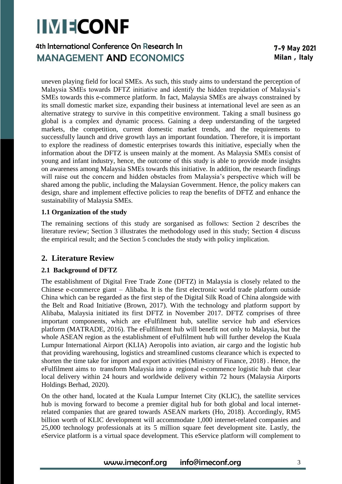## 4th International Conference On Research In **MANAGEMENT AND ECONOMICS**

uneven playing field for local SMEs. As such, this study aims to understand the perception of Malaysia SMEs towards DFTZ initiative and identify the hidden trepidation of Malaysia's SMEs towards this e-commerce platform. In fact, Malaysia SMEs are always constrained by its small domestic market size, expanding their business at international level are seen as an alternative strategy to survive in this competitive environment. Taking a small business go global is a complex and dynamic process. Gaining a deep understanding of the targeted markets, the competition, current domestic market trends, and the requirements to successfully launch and drive growth lays an important foundation. Therefore, it is important to explore the readiness of domestic enterprises towards this initiative, especially when the information about the DFTZ is unseen mainly at the moment. As Malaysia SMEs consist of young and infant industry, hence, the outcome of this study is able to provide mode insights on awareness among Malaysia SMEs towards this initiative. In addition, the research findings will raise out the concern and hidden obstacles from Malaysia's perspective which will be shared among the public, including the Malaysian Government. Hence, the policy makers can design, share and implement effective policies to reap the benefits of DFTZ and enhance the sustainability of Malaysia SMEs.

#### **1.1 Organization of the study**

The remaining sections of this study are sorganised as follows: Section 2 describes the literature review; Section 3 illustrates the methodology used in this study; Section 4 discuss the empirical result; and the Section 5 concludes the study with policy implication.

### **2. Literature Review**

#### **2.1 Background of DFTZ**

The establishment of Digital Free Trade Zone (DFTZ) in Malaysia is closely related to the Chinese e-commerce giant – Alibaba. It is the first electronic world trade platform outside China which can be regarded as the first step of the Digital Silk Road of China alongside with the Belt and Road Initiative (Brown, 2017). With the technology and platform support by Alibaba, Malaysia initiated its first DFTZ in November 2017. DFTZ comprises of three important components, which are eFulfilment hub, satellite service hub and eServices platform (MATRADE, 2016). The eFulfilment hub will benefit not only to Malaysia, but the whole ASEAN region as the establishment of eFulfilment hub will further develop the Kuala Lumpur International Airport (KLIA) Aeropolis into aviation, air cargo and the logistic hub that providing warehousing, logistics and streamlined customs clearance which is expected to shorten the time take for import and export activities (Ministry of Finance, 2018) . Hence, the eFulfilment aims to transform Malaysia into a regional e-commence logistic hub that clear local delivery within 24 hours and worldwide delivery within 72 hours (Malaysia Airports Holdings Berhad, 2020).

On the other hand, located at the Kuala Lumpur Internet City (KLIC), the satellite services hub is moving forward to become a premier digital hub for both global and local internetrelated companies that are geared towards ASEAN markets (Ho, 2018). Accordingly, RM5 billion worth of KLIC development will accommodate 1,000 internet-related companies and 25,000 technology professionals at its 5 million square feet development site. Lastly, the eService platform is a virtual space development. This eService platform will complement to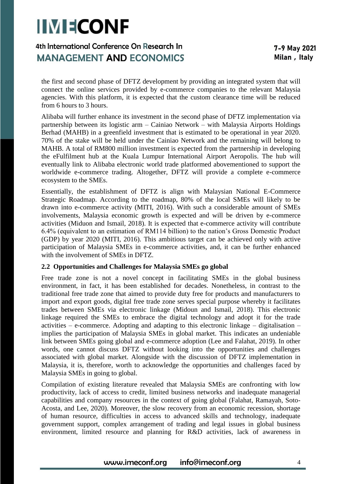## 4th International Conference On Research In **MANAGEMENT AND ECONOMICS**

the first and second phase of DFTZ development by providing an integrated system that will connect the online services provided by e-commerce companies to the relevant Malaysia agencies. With this platform, it is expected that the custom clearance time will be reduced from 6 hours to 3 hours.

Alibaba will further enhance its investment in the second phase of DFTZ implementation via partnership between its logistic arm – Cainiao Network – with Malaysia Airports Holdings Berhad (MAHB) in a greenfield investment that is estimated to be operational in year 2020. 70% of the stake will be held under the Cainiao Network and the remaining will belong to MAHB. A total of RM800 million investment is expected from the partnership in developing the eFulfilment hub at the Kuala Lumpur International Airport Aeropolis. The hub will eventually link to Alibaba electronic world trade platformed abovementioned to support the worldwide e-commerce trading. Altogether, DFTZ will provide a complete e-commerce ecosystem to the SMEs.

Essentially, the establishment of DFTZ is align with Malaysian National E-Commerce Strategic Roadmap. According to the roadmap, 80% of the local SMEs will likely to be drawn into e-commerce activity (MITI, 2016). With such a considerable amount of SMEs involvements, Malaysia economic growth is expected and will be driven by e-commerce activities (Miduon and Ismail, 2018). It is expected that e-commerce activity will contribute 6.4% (equivalent to an estimation of RM114 billion) to the nation's Gross Domestic Product (GDP) by year 2020 (MITI, 2016). This ambitious target can be achieved only with active participation of Malaysia SMEs in e-commerce activities, and, it can be further enhanced with the involvement of SMEs in DFTZ.

#### **2.2 Opportunities and Challenges for Malaysia SMEs go global**

Free trade zone is not a novel concept in facilitating SMEs in the global business environment, in fact, it has been established for decades. Nonetheless, in contrast to the traditional free trade zone that aimed to provide duty free for products and manufacturers to import and export goods, digital free trade zone serves special purpose whereby it facilitates trades between SMEs via electronic linkage (Midoun and Ismail, 2018). This electronic linkage required the SMEs to embrace the digital technology and adopt it for the trade activities – e-commerce. Adopting and adapting to this electronic linkage – digitalisation – implies the participation of Malaysia SMEs in global market. This indicates an undeniable link between SMEs going global and e-commerce adoption (Lee and Falahat, 2019). In other words, one cannot discuss DFTZ without looking into the opportunities and challenges associated with global market. Alongside with the discussion of DFTZ implementation in Malaysia, it is, therefore, worth to acknowledge the opportunities and challenges faced by Malaysia SMEs in going to global.

Compilation of existing literature revealed that Malaysia SMEs are confronting with low productivity, lack of access to credit, limited business networks and inadequate managerial capabilities and company resources in the context of going global (Falahat, Ramayah, Soto-Acosta, and Lee, 2020). Moreover, the slow recovery from an economic recession, shortage of human resource, difficulties in access to advanced skills and technology, inadequate government support, complex arrangement of trading and legal issues in global business environment, limited resource and planning for R&D activities, lack of awareness in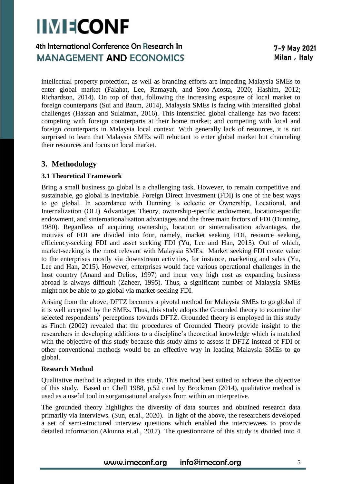## 4th International Conference On Research In **MANAGEMENT AND ECONOMICS**

intellectual property protection, as well as branding efforts are impeding Malaysia SMEs to enter global market (Falahat, Lee, Ramayah, and Soto-Acosta, 2020; Hashim, 2012; Richardson, 2014). On top of that, following the increasing exposure of local market to foreign counterparts (Sui and Baum, 2014), Malaysia SMEs is facing with intensified global challenges (Hassan and Sulaiman, 2016). This intensified global challenge has two facets: competing with foreign counterparts at their home market; and competing with local and foreign counterparts in Malaysia local context. With generally lack of resources, it is not surprised to learn that Malaysia SMEs will reluctant to enter global market but channeling their resources and focus on local market.

### **3. Methodology**

#### **3.1 Theoretical Framework**

Bring a small business go global is a challenging task. However, to remain competitive and sustainable, go global is inevitable. Foreign Direct Investment (FDI) is one of the best ways to go global. In accordance with Dunning 's eclectic or Ownership, Locational, and Internalization (OLI) Advantages Theory, ownership-specific endowment, location-specific endowment, and sinternationalisation advantages and the three main factors of FDI (Dunning, 1980). Regardless of acquiring ownership, location or sinternalisation advantages, the motives of FDI are divided into four, namely, market seeking FDI, resource seeking, efficiency-seeking FDI and asset seeking FDI (Yu, Lee and Han, 2015). Out of which, market-seeking is the most relevant with Malaysia SMEs. Market seeking FDI create value to the enterprises mostly via downstream activities, for instance, marketing and sales (Yu, Lee and Han, 2015). However, enterprises would face various operational challenges in the host country (Anand and Delios, 1997) and incur very high cost as expanding business abroad is always difficult (Zaheer, 1995). Thus, a significant number of Malaysia SMEs might not be able to go global via market-seeking FDI.

Arising from the above, DFTZ becomes a pivotal method for Malaysia SMEs to go global if it is well accepted by the SMEs. Thus, this study adopts the Grounded theory to examine the selected respondents' perceptions towards DFTZ. Grounded theory is employed in this study as Finch (2002) revealed that the procedures of Grounded Theory provide insight to the researchers in developing additions to a discipline's theoretical knowledge which is matched with the objective of this study because this study aims to assess if DFTZ instead of FDI or other conventional methods would be an effective way in leading Malaysia SMEs to go global.

#### **Research Method**

Qualitative method is adopted in this study. This method best suited to achieve the objective of this study. Based on Chell 1988, p.52 cited by Brockman (2014), qualitative method is used as a useful tool in sorganisational analysis from within an interpretive.

The grounded theory highlights the diversity of data sources and obtained research data primarily via interviews. (Sun, et.al., 2020). In light of the above, the researchers developed a set of semi-structured interview questions which enabled the interviewees to provide detailed information (Akunna et.al., 2017). The questionnaire of this study is divided into 4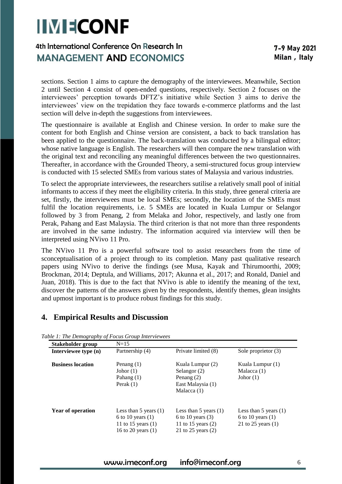## 4th International Conference On Research In **MANAGEMENT AND ECONOMICS**

sections. Section 1 aims to capture the demography of the interviewees. Meanwhile, Section 2 until Section 4 consist of open-ended questions, respectively. Section 2 focuses on the interviewees' perception towards DFTZ's initiative while Section 3 aims to derive the interviewees' view on the trepidation they face towards e-commerce platforms and the last section will delve in-depth the suggestions from interviewees.

The questionnaire is available at English and Chinese version. In order to make sure the content for both English and Chinse version are consistent, a back to back translation has been applied to the questionnaire. The back-translation was conducted by a bilingual editor; whose native language is English. The researchers will then compare the new translation with the original text and reconciling any meaningful differences between the two questionnaires. Thereafter, in accordance with the Grounded Theory, a semi-structured focus group interview is conducted with 15 selected SMEs from various states of Malaysia and various industries.

To select the appropriate interviewees, the researchers sutilise a relatively small pool of initial informants to access if they meet the eligibility criteria. In this study, three general criteria are set, firstly, the interviewees must be local SMEs; secondly, the location of the SMEs must fulfil the location requirements, i.e. 5 SMEs are located in Kuala Lumpur or Selangor followed by 3 from Penang, 2 from Melaka and Johor, respectively, and lastly one from Perak, Pahang and East Malaysia. The third criterion is that not more than three respondents are involved in the same industry. The information acquired via interview will then be interpreted using NVivo 11 Pro.

The NVivo 11 Pro is a powerful software tool to assist researchers from the time of sconceptualisation of a project through to its completion. Many past qualitative research papers using NVivo to derive the findings (see Musa, Kayak and Thirumoorthi, 2009; Brockman, 2014; Deptula, and Williams, 2017; Akunna et al., 2017; and Ronald, Daniel and Juan, 2018). This is due to the fact that NVivo is able to identify the meaning of the text, discover the patterns of the answers given by the respondents, identify themes, glean insights and upmost important is to produce robust findings for this study.

### **4. Empirical Results and Discussion**

| Stakeholder group        | $N=15$                                                                                         |                                                                                                  |                                                                        |
|--------------------------|------------------------------------------------------------------------------------------------|--------------------------------------------------------------------------------------------------|------------------------------------------------------------------------|
| Interviewee type (n)     | Partnership (4)                                                                                | Private limited (8)                                                                              | Sole proprietor (3)                                                    |
| <b>Business location</b> | Penang $(1)$<br>Johor $(1)$<br>Pahang $(1)$<br>Perak $(1)$                                     | Kuala Lumpur (2)<br>Selangor $(2)$<br>Penang $(2)$<br>East Malaysia (1)<br>Malacca $(1)$         | Kuala Lumpur (1)<br>Malacca (1)<br>Johor $(1)$                         |
| <b>Year of operation</b> | Less than 5 years $(1)$<br>6 to 10 years $(1)$<br>11 to 15 years $(1)$<br>16 to 20 years $(1)$ | Less than $5$ years $(1)$<br>6 to 10 years $(3)$<br>11 to 15 years $(2)$<br>21 to 25 years $(2)$ | Less than 5 years $(1)$<br>6 to 10 years $(1)$<br>21 to 25 years $(1)$ |

*Table 1: The Demography of Focus Group Interviewees*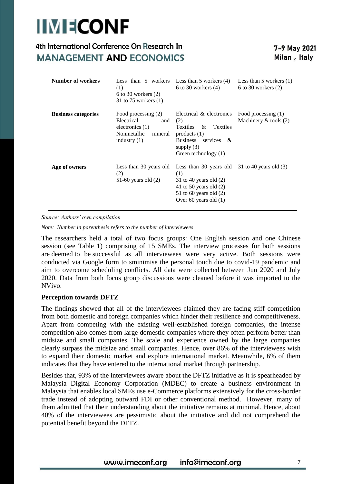## 4th International Conference On Research In **MANAGEMENT AND ECONOMICS**

| Number of workers          | (1)<br>6 to 30 workers $(2)$<br>31 to 75 workers $(1)$                                                    | Less than $5$ workers Less than $5$ workers $(4)$<br>6 to 30 workers $(4)$                                                                                            | Less than $5$ workers $(1)$<br>6 to 30 workers $(2)$ |
|----------------------------|-----------------------------------------------------------------------------------------------------------|-----------------------------------------------------------------------------------------------------------------------------------------------------------------------|------------------------------------------------------|
| <b>Business categories</b> | Food processing (2)<br>Electrical<br>and<br>electronics $(1)$<br>Nonmetallic<br>mineral<br>industry $(1)$ | Electrical & electronics<br>(2)<br><b>Textiles</b><br>$\alpha$<br>Textiles<br>products $(1)$<br><b>Business</b><br>services &<br>supply $(3)$<br>Green technology (1) | Food processing (1)<br>Machinery $&$ tools $(2)$     |
| Age of owners              | Less than 30 years old<br>(2)<br>51-60 years old $(2)$                                                    | Less than 30 years old $31$ to 40 years old (3)<br>(1)<br>31 to 40 years old $(2)$<br>41 to 50 years old $(2)$<br>51 to 60 years old $(2)$<br>Over 60 years old $(1)$ |                                                      |

*Source: Authors' own compilation* 

*Note: Number in parenthesis refers to the number of interviewees*

The researchers held a total of two focus groups: One English session and one Chinese session (see Table 1) comprising of 15 SMEs. The interview processes for both sessions are deemed to be successful as all interviewees were very active. Both sessions were conducted via Google form to sminimise the personal touch due to covid-19 pandemic and aim to overcome scheduling conflicts. All data were collected between Jun 2020 and July 2020. Data from both focus group discussions were cleaned before it was imported to the NVivo.

#### **Perception towards DFTZ**

The findings showed that all of the interviewees claimed they are facing stiff competition from both domestic and foreign companies which hinder their resilience and competitiveness. Apart from competing with the existing well-established foreign companies, the intense competition also comes from large domestic companies where they often perform better than midsize and small companies. The scale and experience owned by the large companies clearly surpass the midsize and small companies. Hence, over 86% of the interviewees wish to expand their domestic market and explore international market. Meanwhile, 6% of them indicates that they have entered to the international market through partnership.

Besides that, 93% of the interviewees aware about the DFTZ initiative as it is spearheaded by Malaysia Digital Economy Corporation (MDEC) to create a business environment in Malaysia that enables local SMEs use e-Commerce platforms extensively for the cross-border trade instead of adopting outward FDI or other conventional method. However, many of them admitted that their understanding about the initiative remains at minimal. Hence, about 40% of the interviewees are pessimistic about the initiative and did not comprehend the potential benefit beyond the DFTZ.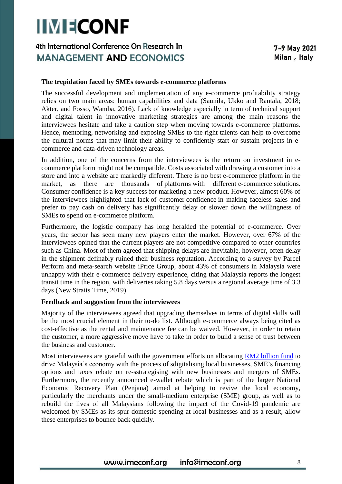## 4th International Conference On Research In **MANAGEMENT AND ECONOMICS**

#### **The trepidation faced by SMEs towards e-commerce platforms**

The successful development and implementation of any e-commerce profitability strategy relies on two main areas: human capabilities and data (Saunila, Ukko and Rantala, 2018; Akter, and Fosso, Wamba, 2016). Lack of knowledge especially in term of technical support and digital talent in innovative marketing strategies are among the main reasons the interviewees hesitate and take a caution step when moving towards e-commerce platforms. Hence, mentoring, networking and exposing SMEs to the right talents can help to overcome the cultural norms that may limit their ability to confidently start or sustain projects in ecommerce and data-driven technology areas.

In addition, one of the concerns from the interviewees is the return on investment in ecommerce platform might not be compatible. Costs associated with drawing a customer into a store and into a website are markedly different. There is no best e-commerce platform in the market, as there are thousands of platforms with different e-commerce solutions. Consumer confidence is a key success for marketing a new product. However, almost 60% of the interviewees highlighted that lack of customer confidence in making faceless sales and prefer to pay cash on delivery has significantly delay or slower down the willingness of SMEs to spend on e-commerce platform.

Furthermore, the logistic company has long heralded the potential of e-commerce. Over years, the sector has seen many new players enter the market. However, over 67% of the interviewees opined that the current players are not competitive compared to other countries such as China. Most of them agreed that shipping delays are inevitable, however, often delay in the shipment definably ruined their business reputation. According to a survey by Parcel Perform and meta-search website iPrice Group, about 43% of consumers in Malaysia were unhappy with their e-commerce delivery experience, citing that Malaysia reports the longest transit time in the region, with deliveries taking 5.8 days versus a regional average time of 3.3 days (New Straits Time, 2019).

#### **Feedback and suggestion from the interviewees**

Majority of the interviewees agreed that upgrading themselves in terms of digital skills will be the most crucial element in their to-do list. Although e-commerce always being cited as cost-effective as the rental and maintenance fee can be waived. However, in order to retain the customer, a more aggressive move have to take in order to build a sense of trust between the business and customer.

Most interviewees are grateful with the government efforts on allocating [RM2 billion fund](https://www.nst.com.my/news/nation/2020/06/598256/penjana-rm12-billion-bolster-businesses-digitalisation) to drive Malaysia's economy with the process of sdigitalising local businesses, SME's financing options and taxes rebate on re-sstrategising with new businesses and mergers of SMEs. Furthermore, the recently announced e-wallet rebate which is part of the larger National Economic Recovery Plan (Penjana) aimed at helping to revive the local economy, particularly the merchants under the small-medium enterprise (SME) group, as well as to rebuild the lives of all Malaysians following the impact of the Covid-19 pandemic are welcomed by SMEs as its spur domestic spending at local businesses and as a result, allow these enterprises to bounce back quickly.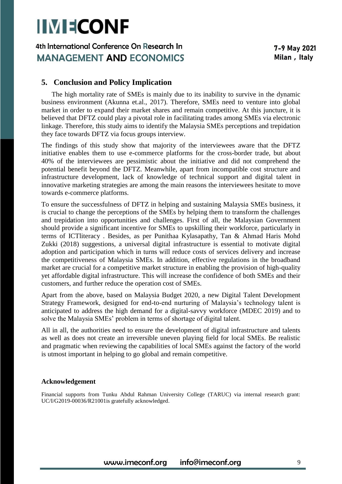### 4th International Conference On Research In **MANAGEMENT AND ECONOMICS**

#### **5. Conclusion and Policy Implication**

The high mortality rate of SMEs is mainly due to its inability to survive in the dynamic business environment (Akunna et.al., 2017). Therefore, SMEs need to venture into global market in order to expand their market shares and remain competitive. At this juncture, it is believed that DFTZ could play a pivotal role in facilitating trades among SMEs via electronic linkage. Therefore, this study aims to identify the Malaysia SMEs perceptions and trepidation they face towards DFTZ via focus groups interview.

The findings of this study show that majority of the interviewees aware that the DFTZ initiative enables them to use e-commerce platforms for the cross-border trade, but about 40% of the interviewees are pessimistic about the initiative and did not comprehend the potential benefit beyond the DFTZ. Meanwhile, apart from incompatible cost structure and infrastructure development, lack of knowledge of technical support and digital talent in innovative marketing strategies are among the main reasons the interviewees hesitate to move towards e-commerce platforms.

To ensure the successfulness of DFTZ in helping and sustaining Malaysia SMEs business, it is crucial to change the perceptions of the SMEs by helping them to transform the challenges and trepidation into opportunities and challenges. First of all, the Malaysian Government should provide a significant incentive for SMEs to upskilling their workforce, particularly in terms of ICTliteracy . Besides, as per Punithaa Kylasapathy, Tan & Ahmad Haris Mohd Zukki (2018) suggestions, a universal digital infrastructure is essential to motivate digital adoption and participation which in turns will reduce costs of services delivery and increase the competitiveness of Malaysia SMEs. In addition, effective regulations in the broadband market are crucial for a competitive market structure in enabling the provision of high-quality yet affordable digital infrastructure. This will increase the confidence of both SMEs and their customers, and further reduce the operation cost of SMEs.

Apart from the above, based on Malaysia Budget 2020, a new Digital Talent Development Strategy Framework, designed for end-to-end nurturing of Malaysia's technology talent is anticipated to address the high demand for a digital-savvy workforce (MDEC 2019) and to solve the Malaysia SMEs' problem in terms of shortage of digital talent.

All in all, the authorities need to ensure the development of digital infrastructure and talents as well as does not create an irreversible uneven playing field for local SMEs. Be realistic and pragmatic when reviewing the capabilities of local SMEs against the factory of the world is utmost important in helping to go global and remain competitive.

#### **Acknowledgement**

Financial supports from Tunku Abdul Rahman University College (TARUC) via internal research grant: UC/I/G2019-00036/R21001is gratefully acknowledged.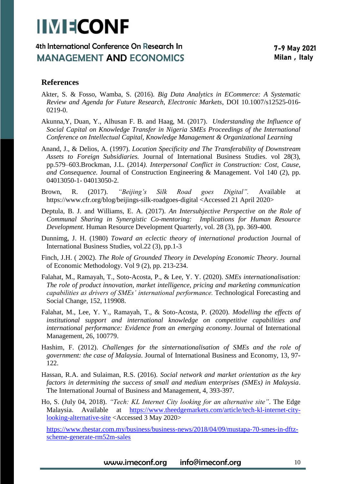### 4th International Conference On Research In **MANAGEMENT AND ECONOMICS**

### **References**

- Akter, S. & Fosso, Wamba, S. (2016). *Big Data Analytics in ECommerce: A Systematic Review and Agenda for Future Research, Electronic Markets*, DOI 10.1007/s12525-016- 0219-0.
- Akunna,Y, Duan, Y., Alhusan F. B. and Haag, M. (2017). *Understanding the Influence of Social Capital on Knowledge Transfer in Nigeria SMEs Proceedings of the International Conference on Intellectual Capital, Knowledge Management & Organizational Learning*
- Anand, J., & Delios, A. (1997). *Location Specificity and The Transferability of Downstream Assets to Foreign Subsidiaries.* Journal of International Business Studies. vol 28(3), pp.579–603.Brockman, J.L. (2014*). Interpersonal Conflict in Construction: Cost, Cause, and Consequence.* Journal of Construction Engineering & Management. Vol 140 (2), pp. 04013050-1- 04013050-2.
- Brown, R. (2017). *"Beijing's Silk Road goes Digital".* Available at https://www.cfr.org/blog/beijings-silk-roadgoes-digital <Accessed 21 April 2020>
- Deptula, B. J. and Williams, E. A. (2017). *An Intersubjective Perspective on the Role of Communal Sharing in Synergistic Co-mentoring: Implications for Human Resource Development.* Human Resource Development Quarterly, vol. 28 (3), pp. 369-400.
- Dunnimg, J. H. (1980) *Toward an eclectic theory of international production* Journal of International Business Studies, vol.22 (3), pp.1-3
- Finch, J.H. ( 2002). *The Role of Grounded Theory in Developing Economic Theory*. Journal of Economic Methodology. Vol 9 (2), pp. 213-234.
- Falahat, M., Ramayah, T., Soto-Acosta, P., & Lee, Y. Y. (2020). *SMEs internationalisation: The role of product innovation, market intelligence, pricing and marketing communication capabilities as drivers of SMEs' international performance.* Technological Forecasting and Social Change, 152, 119908.
- Falahat, M., Lee, Y. Y., Ramayah, T., & Soto-Acosta, P. (2020). *Modelling the effects of institutional support and international knowledge on competitive capabilities and international performance: Evidence from an emerging economy*. Journal of International Management, 26, 100779.
- Hashim, F. (2012). *Challenges for the sinternationalisation of SMEs and the role of government: the case of Malaysia*. Journal of International Business and Economy, 13, 97- 122.
- Hassan, R.A. and Sulaiman, R.S. (2016). *Social network and market orientation as the key factors in determining the success of small and medium enterprises (SMEs) in Malaysia*. The International Journal of Business and Management, 4, 393-397.
- Ho, S. (July 04, 2018). *"Tech: KL Internet City looking for an alternative site"*. The Edge Malaysia. Available at [https://www.theedgemarkets.com/article/tech-kl-internet-city](https://www.theedgemarkets.com/article/tech-kl-internet-city-looking-alternative-site)[looking-alternative-site](https://www.theedgemarkets.com/article/tech-kl-internet-city-looking-alternative-site) <Accessed 3 May 2020>

[https://www.thestar.com.my/business/business-news/2018/04/09/mustapa-70-smes-in-dftz](https://www.thestar.com.my/business/business-news/2018/04/09/mustapa-70-smes-in-dftz-scheme-generate-rm52m-sales)[scheme-generate-rm52m-sales](https://www.thestar.com.my/business/business-news/2018/04/09/mustapa-70-smes-in-dftz-scheme-generate-rm52m-sales)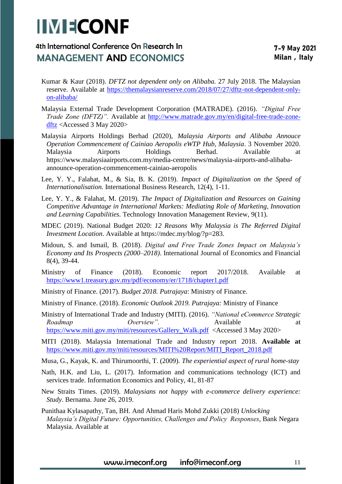## 4th International Conference On Research In **MANAGEMENT AND ECONOMICS**

- Kumar & Kaur (2018). *DFTZ not dependent only on Alibaba.* 27 July 2018. The Malaysian reserve. Available at [https://themalaysianreserve.com/2018/07/27/dftz-not-dependent-only](https://themalaysianreserve.com/2018/07/27/dftz-not-dependent-only-on-alibaba/)[on-alibaba/](https://themalaysianreserve.com/2018/07/27/dftz-not-dependent-only-on-alibaba/)
- Malaysia External Trade Development Corporation (MATRADE). (2016). *"Digital Free Trade Zone (DFTZ)".* Available at [http://www.matrade.gov.my/en/digital-free-trade-zone](http://www.matrade.gov.my/en/digital-free-trade-zone-dftz)[dftz](http://www.matrade.gov.my/en/digital-free-trade-zone-dftz) <Accessed 3 May 2020>
- Malaysia Airports Holdings Berhad (2020), *Malaysia Airports and Alibaba Annouce Operation Commencement of Cainiao Aeropolis eWTP Hub, Malaysia*. 3 November 2020. Malaysia Airports Holdings Berhad. Available at https://www.malaysiaairports.com.my/media-centre/news/malaysia-airports-and-alibabaannounce-operation-commencement-cainiao-aeropolis
- Lee, Y. Y., Falahat, M., & Sia, B. K. (2019). *Impact of Digitalization on the Speed of Internationalisation.* International Business Research, 12(4), 1-11.
- Lee, Y. Y., & Falahat, M. (2019). *The Impact of Digitalization and Resources on Gaining Competitive Advantage in International Markets: Mediating Role of Marketing, Innovation and Learning Capabilities.* Technology Innovation Management Review, 9(11).
- MDEC (2019). National Budget 2020: *12 Reasons Why Malaysia is The Referred Digital Investment Location*. Available at https://mdec.my/blog/?p=283.
- Midoun, S. and Ismail, B. (2018). *Digital and Free Trade Zones Impact on Malaysia's Economy and Its Prospects (2000–2018)*. International Journal of Economics and Financial 8(4), 39-44.
- Ministry of Finance (2018). Economic report 2017/2018. Available at <https://www1.treasury.gov.my/pdf/economy/er/1718/chapter1.pdf>
- Ministry of Finance. (2017). *Budget 2018. Putrajaya*: Ministry of Finance.
- Ministry of Finance. (2018). *Economic Outlook 2019. Putrajaya:* Ministry of Finance
- Ministry of International Trade and Industry (MITI). (2016). *"National eCommerce Strategic Roadmap Overview"*. Available at [https://www.miti.gov.my/miti/resources/Gallery\\_Walk.pdf](https://www.miti.gov.my/miti/resources/Gallery_Walk.pdf) <Accessed 3 May 2020>
- MITI (2018). Malaysia International Trade and Industry report 2018. **Available at**  [https://www.miti.gov.my/miti/resources/MITI%20Report/MITI\\_Report\\_2018.pdf](https://www.miti.gov.my/miti/resources/MITI%20Report/MITI_Report_2018.pdf)
- Musa, G., Kayak, K. and Thirumoorthi, T. (2009). *The experiential aspect of rural home-stay*
- Nath, H.K. and Liu, L. (2017). Information and communications technology (ICT) and services trade. Information Economics and Policy, 41, 81-87
- New Straits Times. (2019). *Malaysians not happy with e-commerce delivery experience: Study*. Bernama. June 26, 2019.
- Punithaa Kylasapathy, Tan, BH. And Ahmad Haris Mohd Zukki (2018) *Unlocking Malaysia's Digital Future: Opportunities, Challenges and Policy Responses*, Bank Negara Malaysia. Available at